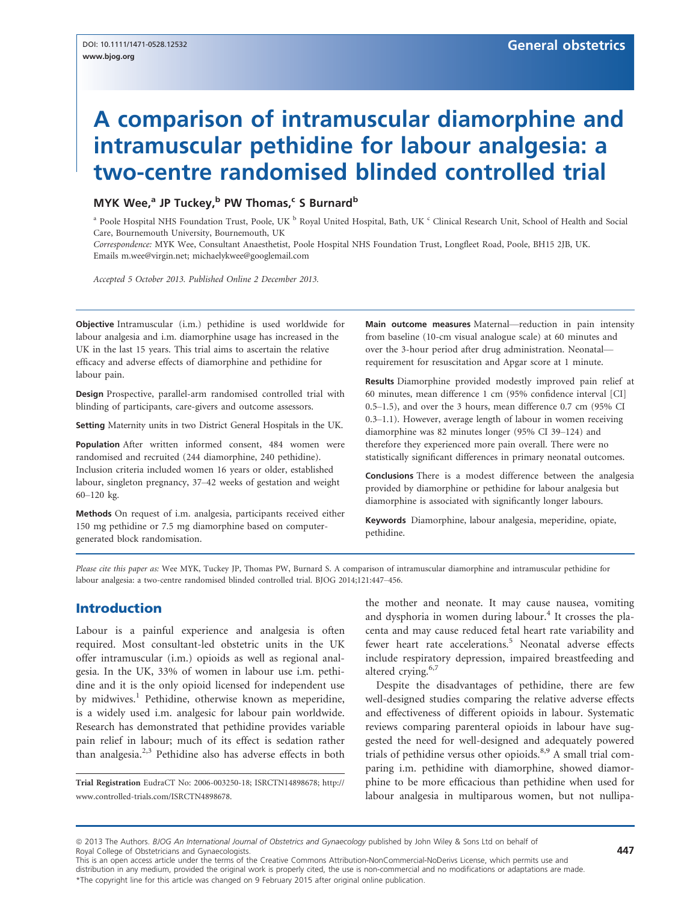# A comparison of intramuscular diamorphine and intramuscular pethidine for labour analgesia: a two-centre randomised blinded controlled trial

# MYK Wee,<sup>a</sup> JP Tuckey,<sup>b</sup> PW Thomas,<sup>c</sup> S Burnard<sup>b</sup>

<sup>a</sup> Poole Hospital NHS Foundation Trust, Poole, UK  $^{\rm b}$  Royal United Hospital, Bath, UK  $^{\rm c}$  Clinical Research Unit, School of Health and Social Care, Bournemouth University, Bournemouth, UK

Correspondence: MYK Wee, Consultant Anaesthetist, Poole Hospital NHS Foundation Trust, Longfleet Road, Poole, BH15 2JB, UK. Emails m.wee@virgin.net; michaelykwee@googlemail.com

Accepted 5 October 2013. Published Online 2 December 2013.

Objective Intramuscular (i.m.) pethidine is used worldwide for labour analgesia and i.m. diamorphine usage has increased in the UK in the last 15 years. This trial aims to ascertain the relative efficacy and adverse effects of diamorphine and pethidine for labour pain.

Design Prospective, parallel-arm randomised controlled trial with blinding of participants, care-givers and outcome assessors.

Setting Maternity units in two District General Hospitals in the UK.

Population After written informed consent, 484 women were randomised and recruited (244 diamorphine, 240 pethidine). Inclusion criteria included women 16 years or older, established labour, singleton pregnancy, 37–42 weeks of gestation and weight 60–120 kg.

Methods On request of i.m. analgesia, participants received either 150 mg pethidine or 7.5 mg diamorphine based on computergenerated block randomisation.

Main outcome measures Maternal—reduction in pain intensity from baseline (10-cm visual analogue scale) at 60 minutes and over the 3-hour period after drug administration. Neonatal requirement for resuscitation and Apgar score at 1 minute.

Results Diamorphine provided modestly improved pain relief at 60 minutes, mean difference 1 cm (95% confidence interval [CI] 0.5–1.5), and over the 3 hours, mean difference 0.7 cm (95% CI 0.3–1.1). However, average length of labour in women receiving diamorphine was 82 minutes longer (95% CI 39–124) and therefore they experienced more pain overall. There were no statistically significant differences in primary neonatal outcomes.

Conclusions There is a modest difference between the analgesia provided by diamorphine or pethidine for labour analgesia but diamorphine is associated with significantly longer labours.

Keywords Diamorphine, labour analgesia, meperidine, opiate, pethidine.

Please cite this paper as: Wee MYK, Tuckey JP, Thomas PW, Burnard S. A comparison of intramuscular diamorphine and intramuscular pethidine for labour analgesia: a two-centre randomised blinded controlled trial. BJOG 2014;121:447–456.

# Introduction

Labour is a painful experience and analgesia is often required. Most consultant-led obstetric units in the UK offer intramuscular (i.m.) opioids as well as regional analgesia. In the UK, 33% of women in labour use i.m. pethidine and it is the only opioid licensed for independent use by midwives.<sup>1</sup> Pethidine, otherwise known as meperidine, is a widely used i.m. analgesic for labour pain worldwide. Research has demonstrated that pethidine provides variable pain relief in labour; much of its effect is sedation rather than analgesia. $2,3$  Pethidine also has adverse effects in both

Trial Registration EudraCT No: 2006-003250-18; ISRCTN14898678; [http://](http://handbook.cochrane.org) [www.controlled-trials.com/ISRCTN4898678](http://handbook.cochrane.org).

the mother and neonate. It may cause nausea, vomiting and dysphoria in women during labour.<sup>4</sup> It crosses the placenta and may cause reduced fetal heart rate variability and fewer heart rate accelerations.<sup>5</sup> Neonatal adverse effects include respiratory depression, impaired breastfeeding and altered crying.<sup>6,7</sup>

Despite the disadvantages of pethidine, there are few well-designed studies comparing the relative adverse effects and effectiveness of different opioids in labour. Systematic reviews comparing parenteral opioids in labour have suggested the need for well-designed and adequately powered trials of pethidine versus other opioids. $8,9$  A small trial comparing i.m. pethidine with diamorphine, showed diamorphine to be more efficacious than pethidine when used for labour analgesia in multiparous women, but not nullipa-

\*The copyright line for this article was changed on 9 February 2015 after original online publication. This is an open access article under the terms of the [Creative Commons Attribution-NonCommercial-NoDerivs](http://handbook.cochrane.org) License, which permits use and distribution in any medium, provided the original work is properly cited, the use is non-commercial and no modifications or adaptations are made.

ª 2013 The Authors. BJOG An International Journal of Obstetrics and Gynaecology published by John Wiley & Sons Ltd on behalf of Royal College of Obstetricians and Gynaecologists. 447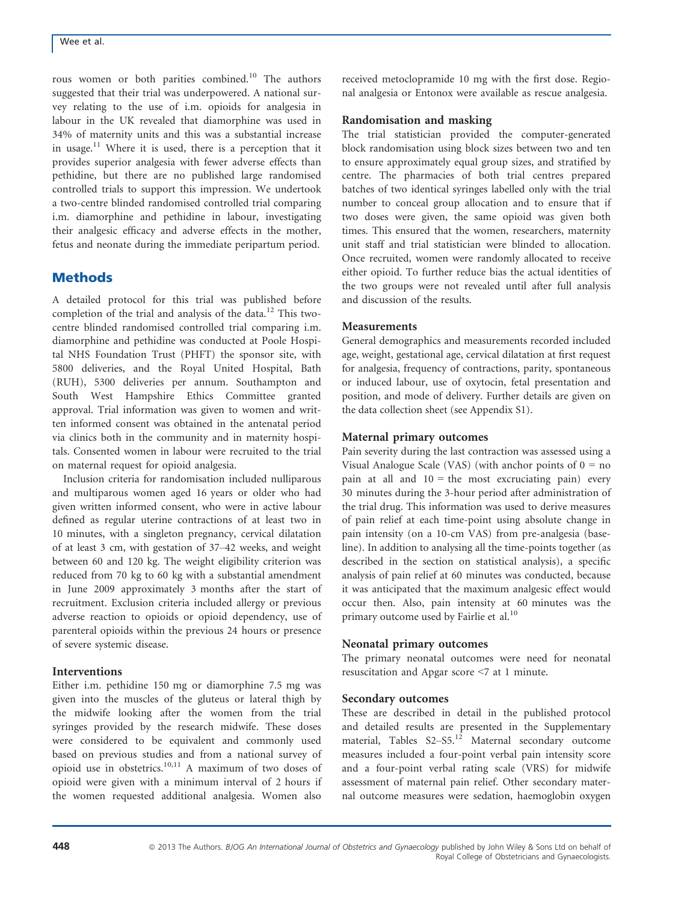#### Wee et al.

rous women or both parities combined.<sup>10</sup> The authors suggested that their trial was underpowered. A national survey relating to the use of i.m. opioids for analgesia in labour in the UK revealed that diamorphine was used in 34% of maternity units and this was a substantial increase in usage.<sup>11</sup> Where it is used, there is a perception that it provides superior analgesia with fewer adverse effects than pethidine, but there are no published large randomised controlled trials to support this impression. We undertook a two-centre blinded randomised controlled trial comparing i.m. diamorphine and pethidine in labour, investigating their analgesic efficacy and adverse effects in the mother, fetus and neonate during the immediate peripartum period.

# **Methods**

A detailed protocol for this trial was published before completion of the trial and analysis of the data.<sup>12</sup> This twocentre blinded randomised controlled trial comparing i.m. diamorphine and pethidine was conducted at Poole Hospital NHS Foundation Trust (PHFT) the sponsor site, with 5800 deliveries, and the Royal United Hospital, Bath (RUH), 5300 deliveries per annum. Southampton and South West Hampshire Ethics Committee granted approval. Trial information was given to women and written informed consent was obtained in the antenatal period via clinics both in the community and in maternity hospitals. Consented women in labour were recruited to the trial on maternal request for opioid analgesia.

Inclusion criteria for randomisation included nulliparous and multiparous women aged 16 years or older who had given written informed consent, who were in active labour defined as regular uterine contractions of at least two in 10 minutes, with a singleton pregnancy, cervical dilatation of at least 3 cm, with gestation of 37–42 weeks, and weight between 60 and 120 kg. The weight eligibility criterion was reduced from 70 kg to 60 kg with a substantial amendment in June 2009 approximately 3 months after the start of recruitment. Exclusion criteria included allergy or previous adverse reaction to opioids or opioid dependency, use of parenteral opioids within the previous 24 hours or presence of severe systemic disease.

#### Interventions

Either i.m. pethidine 150 mg or diamorphine 7.5 mg was given into the muscles of the gluteus or lateral thigh by the midwife looking after the women from the trial syringes provided by the research midwife. These doses were considered to be equivalent and commonly used based on previous studies and from a national survey of opioid use in obstetrics.10,11 A maximum of two doses of opioid were given with a minimum interval of 2 hours if the women requested additional analgesia. Women also received metoclopramide 10 mg with the first dose. Regional analgesia or Entonox were available as rescue analgesia.

#### Randomisation and masking

The trial statistician provided the computer-generated block randomisation using block sizes between two and ten to ensure approximately equal group sizes, and stratified by centre. The pharmacies of both trial centres prepared batches of two identical syringes labelled only with the trial number to conceal group allocation and to ensure that if two doses were given, the same opioid was given both times. This ensured that the women, researchers, maternity unit staff and trial statistician were blinded to allocation. Once recruited, women were randomly allocated to receive either opioid. To further reduce bias the actual identities of the two groups were not revealed until after full analysis and discussion of the results.

#### Measurements

General demographics and measurements recorded included age, weight, gestational age, cervical dilatation at first request for analgesia, frequency of contractions, parity, spontaneous or induced labour, use of oxytocin, fetal presentation and position, and mode of delivery. Further details are given on the data collection sheet (see Appendix S1).

#### Maternal primary outcomes

Pain severity during the last contraction was assessed using a Visual Analogue Scale (VAS) (with anchor points of  $0 = no$ pain at all and  $10 =$  the most excruciating pain) every 30 minutes during the 3-hour period after administration of the trial drug. This information was used to derive measures of pain relief at each time-point using absolute change in pain intensity (on a 10-cm VAS) from pre-analgesia (baseline). In addition to analysing all the time-points together (as described in the section on statistical analysis), a specific analysis of pain relief at 60 minutes was conducted, because it was anticipated that the maximum analgesic effect would occur then. Also, pain intensity at 60 minutes was the primary outcome used by Fairlie et al.<sup>10</sup>

#### Neonatal primary outcomes

The primary neonatal outcomes were need for neonatal resuscitation and Apgar score <7 at 1 minute.

#### Secondary outcomes

These are described in detail in the published protocol and detailed results are presented in the Supplementary material, Tables S2-S5.<sup>12</sup> Maternal secondary outcome measures included a four-point verbal pain intensity score and a four-point verbal rating scale (VRS) for midwife assessment of maternal pain relief. Other secondary maternal outcome measures were sedation, haemoglobin oxygen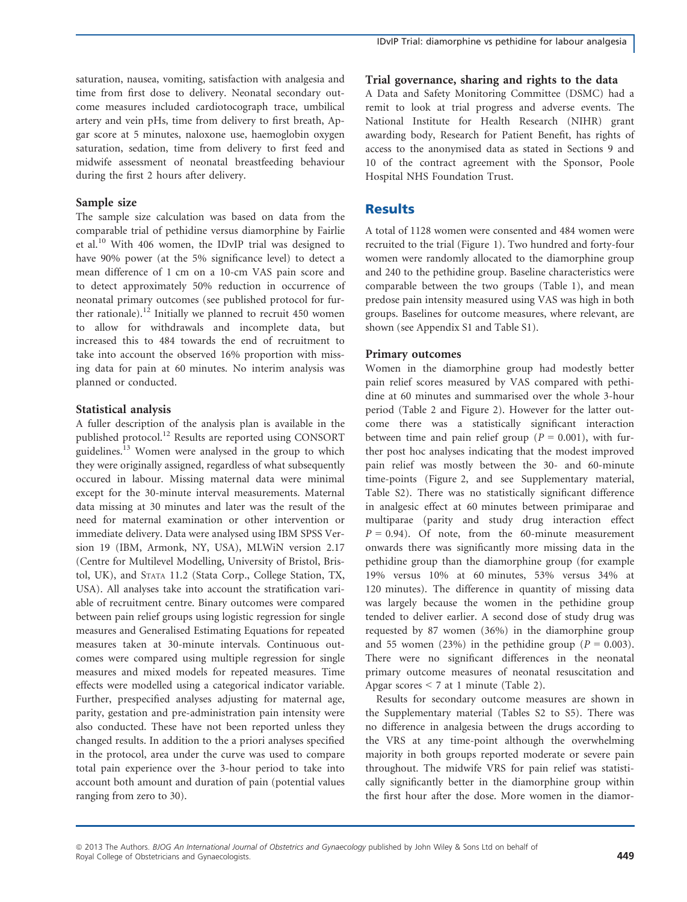saturation, nausea, vomiting, satisfaction with analgesia and time from first dose to delivery. Neonatal secondary outcome measures included cardiotocograph trace, umbilical artery and vein pHs, time from delivery to first breath, Apgar score at 5 minutes, naloxone use, haemoglobin oxygen saturation, sedation, time from delivery to first feed and midwife assessment of neonatal breastfeeding behaviour during the first 2 hours after delivery.

## Sample size

The sample size calculation was based on data from the comparable trial of pethidine versus diamorphine by Fairlie et al.<sup>10</sup> With 406 women, the IDvIP trial was designed to have 90% power (at the 5% significance level) to detect a mean difference of 1 cm on a 10-cm VAS pain score and to detect approximately 50% reduction in occurrence of neonatal primary outcomes (see published protocol for further rationale). $^{12}$  Initially we planned to recruit 450 women to allow for withdrawals and incomplete data, but increased this to 484 towards the end of recruitment to take into account the observed 16% proportion with missing data for pain at 60 minutes. No interim analysis was planned or conducted.

## Statistical analysis

A fuller description of the analysis plan is available in the published protocol.12 Results are reported using CONSORT guidelines.<sup>13</sup> Women were analysed in the group to which they were originally assigned, regardless of what subsequently occured in labour. Missing maternal data were minimal except for the 30-minute interval measurements. Maternal data missing at 30 minutes and later was the result of the need for maternal examination or other intervention or immediate delivery. Data were analysed using IBM SPSS Version 19 (IBM, Armonk, NY, USA), MLWiN version 2.17 (Centre for Multilevel Modelling, University of Bristol, Bristol, UK), and STATA 11.2 (Stata Corp., College Station, TX, USA). All analyses take into account the stratification variable of recruitment centre. Binary outcomes were compared between pain relief groups using logistic regression for single measures and Generalised Estimating Equations for repeated measures taken at 30-minute intervals. Continuous outcomes were compared using multiple regression for single measures and mixed models for repeated measures. Time effects were modelled using a categorical indicator variable. Further, prespecified analyses adjusting for maternal age, parity, gestation and pre-administration pain intensity were also conducted. These have not been reported unless they changed results. In addition to the a priori analyses specified in the protocol, area under the curve was used to compare total pain experience over the 3-hour period to take into account both amount and duration of pain (potential values ranging from zero to 30).

#### Trial governance, sharing and rights to the data

A Data and Safety Monitoring Committee (DSMC) had a remit to look at trial progress and adverse events. The National Institute for Health Research (NIHR) grant awarding body, Research for Patient Benefit, has rights of access to the anonymised data as stated in Sections 9 and 10 of the contract agreement with the Sponsor, Poole Hospital NHS Foundation Trust.

# **Results**

A total of 1128 women were consented and 484 women were recruited to the trial (Figure 1). Two hundred and forty-four women were randomly allocated to the diamorphine group and 240 to the pethidine group. Baseline characteristics were comparable between the two groups (Table 1), and mean predose pain intensity measured using VAS was high in both groups. Baselines for outcome measures, where relevant, are shown (see Appendix S1 and Table S1).

# Primary outcomes

Women in the diamorphine group had modestly better pain relief scores measured by VAS compared with pethidine at 60 minutes and summarised over the whole 3-hour period (Table 2 and Figure 2). However for the latter outcome there was a statistically significant interaction between time and pain relief group ( $P = 0.001$ ), with further post hoc analyses indicating that the modest improved pain relief was mostly between the 30- and 60-minute time-points (Figure 2, and see Supplementary material, Table S2). There was no statistically significant difference in analgesic effect at 60 minutes between primiparae and multiparae (parity and study drug interaction effect  $P = 0.94$ ). Of note, from the 60-minute measurement onwards there was significantly more missing data in the pethidine group than the diamorphine group (for example 19% versus 10% at 60 minutes, 53% versus 34% at 120 minutes). The difference in quantity of missing data was largely because the women in the pethidine group tended to deliver earlier. A second dose of study drug was requested by 87 women (36%) in the diamorphine group and 55 women (23%) in the pethidine group ( $P = 0.003$ ). There were no significant differences in the neonatal primary outcome measures of neonatal resuscitation and Apgar scores < 7 at 1 minute (Table 2).

Results for secondary outcome measures are shown in the Supplementary material (Tables S2 to S5). There was no difference in analgesia between the drugs according to the VRS at any time-point although the overwhelming majority in both groups reported moderate or severe pain throughout. The midwife VRS for pain relief was statistically significantly better in the diamorphine group within the first hour after the dose. More women in the diamor-

ª 2013 The Authors. BJOG An International Journal of Obstetrics and Gynaecology published by John Wiley & Sons Ltd on behalf of Royal College of Obstetricians and Gynaecologists. **449** and College of Obstetricians and Gynaecologists.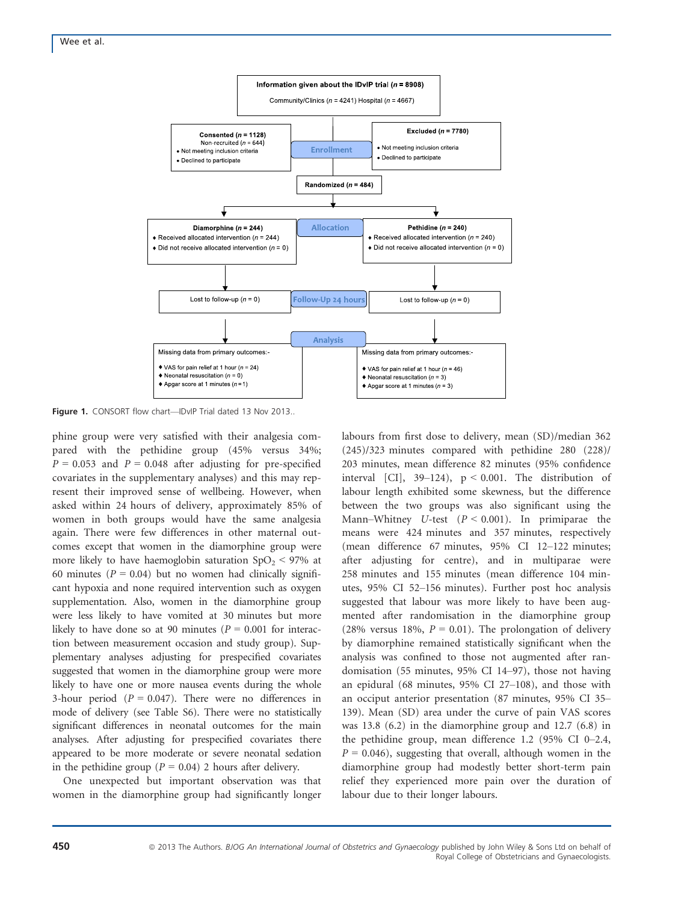

Figure 1. CONSORT flow chart-IDvIP Trial dated 13 Nov 2013.

phine group were very satisfied with their analgesia compared with the pethidine group (45% versus 34%;  $P = 0.053$  and  $P = 0.048$  after adjusting for pre-specified covariates in the supplementary analyses) and this may represent their improved sense of wellbeing. However, when asked within 24 hours of delivery, approximately 85% of women in both groups would have the same analgesia again. There were few differences in other maternal outcomes except that women in the diamorphine group were more likely to have haemoglobin saturation  $SpO<sub>2</sub> < 97%$  at 60 minutes ( $P = 0.04$ ) but no women had clinically significant hypoxia and none required intervention such as oxygen supplementation. Also, women in the diamorphine group were less likely to have vomited at 30 minutes but more likely to have done so at 90 minutes ( $P = 0.001$  for interaction between measurement occasion and study group). Supplementary analyses adjusting for prespecified covariates suggested that women in the diamorphine group were more likely to have one or more nausea events during the whole 3-hour period ( $P = 0.047$ ). There were no differences in mode of delivery (see Table S6). There were no statistically significant differences in neonatal outcomes for the main analyses. After adjusting for prespecified covariates there appeared to be more moderate or severe neonatal sedation in the pethidine group ( $P = 0.04$ ) 2 hours after delivery.

One unexpected but important observation was that women in the diamorphine group had significantly longer labours from first dose to delivery, mean (SD)/median 362 (245)/323 minutes compared with pethidine 280 (228)/ 203 minutes, mean difference 82 minutes (95% confidence interval [CI],  $39-124$ ),  $p < 0.001$ . The distribution of labour length exhibited some skewness, but the difference between the two groups was also significant using the Mann–Whitney U-test  $(P < 0.001)$ . In primiparae the means were 424 minutes and 357 minutes, respectively (mean difference 67 minutes, 95% CI 12–122 minutes; after adjusting for centre), and in multiparae were 258 minutes and 155 minutes (mean difference 104 minutes, 95% CI 52–156 minutes). Further post hoc analysis suggested that labour was more likely to have been augmented after randomisation in the diamorphine group (28% versus 18%,  $P = 0.01$ ). The prolongation of delivery by diamorphine remained statistically significant when the analysis was confined to those not augmented after randomisation (55 minutes, 95% CI 14–97), those not having an epidural (68 minutes, 95% CI 27–108), and those with an occiput anterior presentation (87 minutes, 95% CI 35– 139). Mean (SD) area under the curve of pain VAS scores was 13.8 (6.2) in the diamorphine group and 12.7 (6.8) in the pethidine group, mean difference 1.2 (95% CI 0–2.4,  $P = 0.046$ , suggesting that overall, although women in the diamorphine group had modestly better short-term pain relief they experienced more pain over the duration of labour due to their longer labours.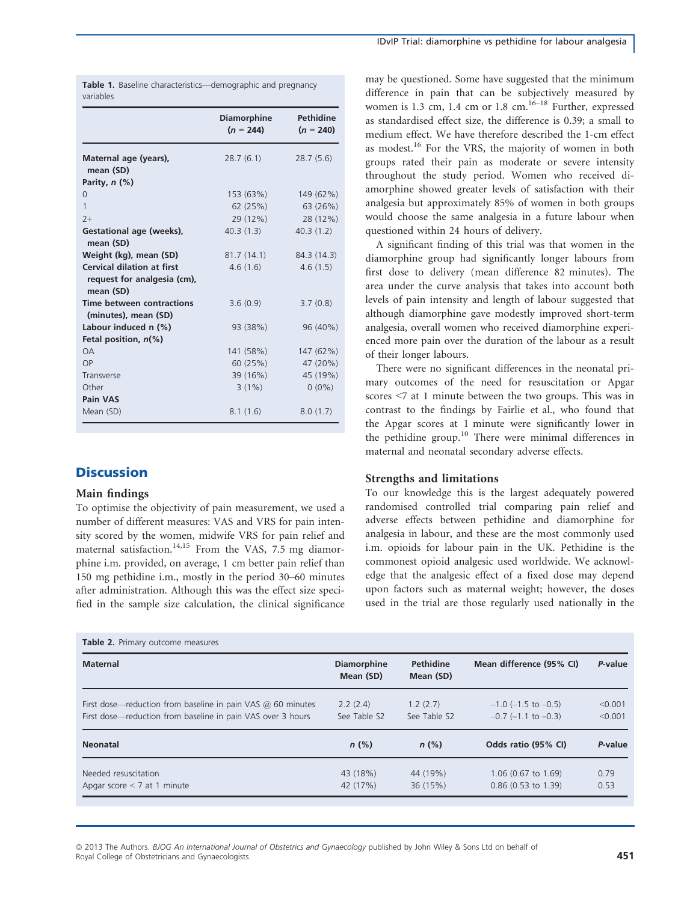|           | Table 1. Baseline characteristics—demographic and pregnancy |  |  |
|-----------|-------------------------------------------------------------|--|--|
| variables |                                                             |  |  |

|                                                                               | <b>Diamorphine</b><br>$(n = 244)$ | <b>Pethidine</b><br>$(n = 240)$ |
|-------------------------------------------------------------------------------|-----------------------------------|---------------------------------|
| Maternal age (years),                                                         | 28.7(6.1)                         | 28.7(5.6)                       |
| mean (SD)                                                                     |                                   |                                 |
| Parity, n (%)                                                                 |                                   |                                 |
| $\Omega$                                                                      | 153 (63%)                         | 149 (62%)                       |
| $\mathbf{1}$                                                                  | 62(25%)                           | 63 (26%)                        |
| $2+$                                                                          | 29 (12%)                          | 28 (12%)                        |
| Gestational age (weeks),<br>mean (SD)                                         | 40.3(1.3)                         | 40.3(1.2)                       |
| Weight (kg), mean (SD)                                                        | 81.7(14.1)                        | 84.3 (14.3)                     |
| <b>Cervical dilation at first</b><br>request for analgesia (cm),<br>mean (SD) | 4.6(1.6)                          | 4.6(1.5)                        |
| <b>Time between contractions</b><br>(minutes), mean (SD)                      | 3.6(0.9)                          | 3.7(0.8)                        |
| Labour induced n (%)                                                          | 93 (38%)                          | 96 (40%)                        |
| Fetal position, $n\ll 0$                                                      |                                   |                                 |
| <b>OA</b>                                                                     | 141 (58%)                         | 147 (62%)                       |
| OP                                                                            | 60(25%)                           | 47 (20%)                        |
| Transverse                                                                    | 39 (16%)                          | 45 (19%)                        |
| Other                                                                         | 3(1%)                             | $0(0\%)$                        |
| <b>Pain VAS</b>                                                               |                                   |                                 |
| Mean (SD)                                                                     | 8.1(1.6)                          | 8.0(1.7)                        |

# **Discussion**

#### Main findings

To optimise the objectivity of pain measurement, we used a number of different measures: VAS and VRS for pain intensity scored by the women, midwife VRS for pain relief and maternal satisfaction.<sup>14,15</sup> From the VAS, 7.5 mg diamorphine i.m. provided, on average, 1 cm better pain relief than 150 mg pethidine i.m., mostly in the period 30–60 minutes after administration. Although this was the effect size specified in the sample size calculation, the clinical significance may be questioned. Some have suggested that the minimum difference in pain that can be subjectively measured by women is 1.3 cm, 1.4 cm or 1.8 cm,  $16-18$  Further, expressed as standardised effect size, the difference is 0.39; a small to medium effect. We have therefore described the 1-cm effect as modest.<sup>16</sup> For the VRS, the majority of women in both groups rated their pain as moderate or severe intensity throughout the study period. Women who received diamorphine showed greater levels of satisfaction with their analgesia but approximately 85% of women in both groups would choose the same analgesia in a future labour when questioned within 24 hours of delivery.

A significant finding of this trial was that women in the diamorphine group had significantly longer labours from first dose to delivery (mean difference 82 minutes). The area under the curve analysis that takes into account both levels of pain intensity and length of labour suggested that although diamorphine gave modestly improved short-term analgesia, overall women who received diamorphine experienced more pain over the duration of the labour as a result of their longer labours.

There were no significant differences in the neonatal primary outcomes of the need for resuscitation or Apgar scores <7 at 1 minute between the two groups. This was in contrast to the findings by Fairlie et al., who found that the Apgar scores at 1 minute were significantly lower in the pethidine group.<sup>10</sup> There were minimal differences in maternal and neonatal secondary adverse effects.

#### Strengths and limitations

To our knowledge this is the largest adequately powered randomised controlled trial comparing pain relief and adverse effects between pethidine and diamorphine for analgesia in labour, and these are the most commonly used i.m. opioids for labour pain in the UK. Pethidine is the commonest opioid analgesic used worldwide. We acknowledge that the analgesic effect of a fixed dose may depend upon factors such as maternal weight; however, the doses used in the trial are those regularly used nationally in the

| <b>Table 2.</b> Primary outcome measures                                                                                       |                                 |                          |                                                   |                    |  |  |  |
|--------------------------------------------------------------------------------------------------------------------------------|---------------------------------|--------------------------|---------------------------------------------------|--------------------|--|--|--|
| <b>Maternal</b>                                                                                                                | <b>Diamorphine</b><br>Mean (SD) | Pethidine<br>Mean (SD)   | Mean difference (95% CI)                          | P-value            |  |  |  |
| First dose—reduction from baseline in pain VAS $(a)$ 60 minutes<br>First dose—reduction from baseline in pain VAS over 3 hours | 2.2(2.4)<br>See Table S2        | 1.2(2.7)<br>See Table S2 | $-1.0$ (-1.5 to -0.5)<br>$-0.7$ (-1.1 to $-0.3$ ) | < 0.001<br>< 0.001 |  |  |  |
| <b>Neonatal</b>                                                                                                                | $n$ (%)                         | $n$ (%)                  | Odds ratio (95% CI)                               | P-value            |  |  |  |
| Needed resuscitation<br>Apgar score $<$ 7 at 1 minute                                                                          | 43 (18%)<br>42 (17%)            | 44 (19%)<br>36 (15%)     | 1.06 (0.67 to 1.69)<br>0.86 (0.53 to 1.39)        | 0.79<br>0.53       |  |  |  |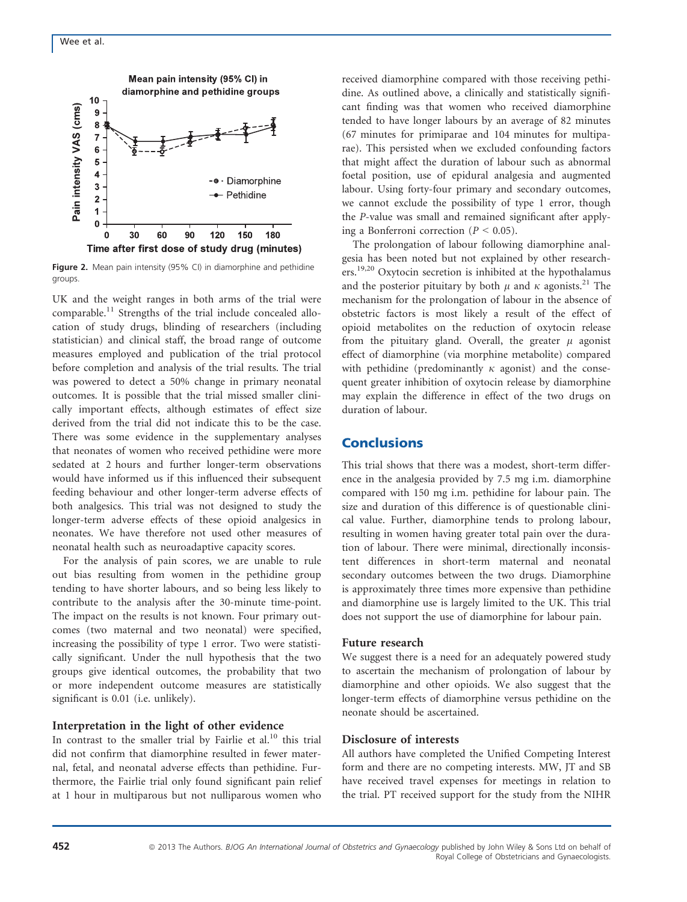

Figure 2. Mean pain intensity (95% CI) in diamorphine and pethidine groups.

UK and the weight ranges in both arms of the trial were comparable. $^{11}$  Strengths of the trial include concealed allocation of study drugs, blinding of researchers (including statistician) and clinical staff, the broad range of outcome measures employed and publication of the trial protocol before completion and analysis of the trial results. The trial was powered to detect a 50% change in primary neonatal outcomes. It is possible that the trial missed smaller clinically important effects, although estimates of effect size derived from the trial did not indicate this to be the case. There was some evidence in the supplementary analyses that neonates of women who received pethidine were more sedated at 2 hours and further longer-term observations would have informed us if this influenced their subsequent feeding behaviour and other longer-term adverse effects of both analgesics. This trial was not designed to study the longer-term adverse effects of these opioid analgesics in neonates. We have therefore not used other measures of neonatal health such as neuroadaptive capacity scores.

For the analysis of pain scores, we are unable to rule out bias resulting from women in the pethidine group tending to have shorter labours, and so being less likely to contribute to the analysis after the 30-minute time-point. The impact on the results is not known. Four primary outcomes (two maternal and two neonatal) were specified, increasing the possibility of type 1 error. Two were statistically significant. Under the null hypothesis that the two groups give identical outcomes, the probability that two or more independent outcome measures are statistically significant is 0.01 (i.e. unlikely).

#### Interpretation in the light of other evidence

In contrast to the smaller trial by Fairlie et al.<sup>10</sup> this trial did not confirm that diamorphine resulted in fewer maternal, fetal, and neonatal adverse effects than pethidine. Furthermore, the Fairlie trial only found significant pain relief at 1 hour in multiparous but not nulliparous women who

received diamorphine compared with those receiving pethidine. As outlined above, a clinically and statistically significant finding was that women who received diamorphine tended to have longer labours by an average of 82 minutes (67 minutes for primiparae and 104 minutes for multiparae). This persisted when we excluded confounding factors that might affect the duration of labour such as abnormal foetal position, use of epidural analgesia and augmented labour. Using forty-four primary and secondary outcomes, we cannot exclude the possibility of type 1 error, though the P-value was small and remained significant after applying a Bonferroni correction ( $P < 0.05$ ).

The prolongation of labour following diamorphine analgesia has been noted but not explained by other researchers.<sup>19,20</sup> Oxytocin secretion is inhibited at the hypothalamus and the posterior pituitary by both  $\mu$  and  $\kappa$  agonists.<sup>21</sup> The mechanism for the prolongation of labour in the absence of obstetric factors is most likely a result of the effect of opioid metabolites on the reduction of oxytocin release from the pituitary gland. Overall, the greater  $\mu$  agonist effect of diamorphine (via morphine metabolite) compared with pethidine (predominantly  $\kappa$  agonist) and the consequent greater inhibition of oxytocin release by diamorphine may explain the difference in effect of the two drugs on duration of labour.

# **Conclusions**

This trial shows that there was a modest, short-term difference in the analgesia provided by 7.5 mg i.m. diamorphine compared with 150 mg i.m. pethidine for labour pain. The size and duration of this difference is of questionable clinical value. Further, diamorphine tends to prolong labour, resulting in women having greater total pain over the duration of labour. There were minimal, directionally inconsistent differences in short-term maternal and neonatal secondary outcomes between the two drugs. Diamorphine is approximately three times more expensive than pethidine and diamorphine use is largely limited to the UK. This trial does not support the use of diamorphine for labour pain.

#### Future research

We suggest there is a need for an adequately powered study to ascertain the mechanism of prolongation of labour by diamorphine and other opioids. We also suggest that the longer-term effects of diamorphine versus pethidine on the neonate should be ascertained.

#### Disclosure of interests

All authors have completed the Unified Competing Interest form and there are no competing interests. MW, JT and SB have received travel expenses for meetings in relation to the trial. PT received support for the study from the NIHR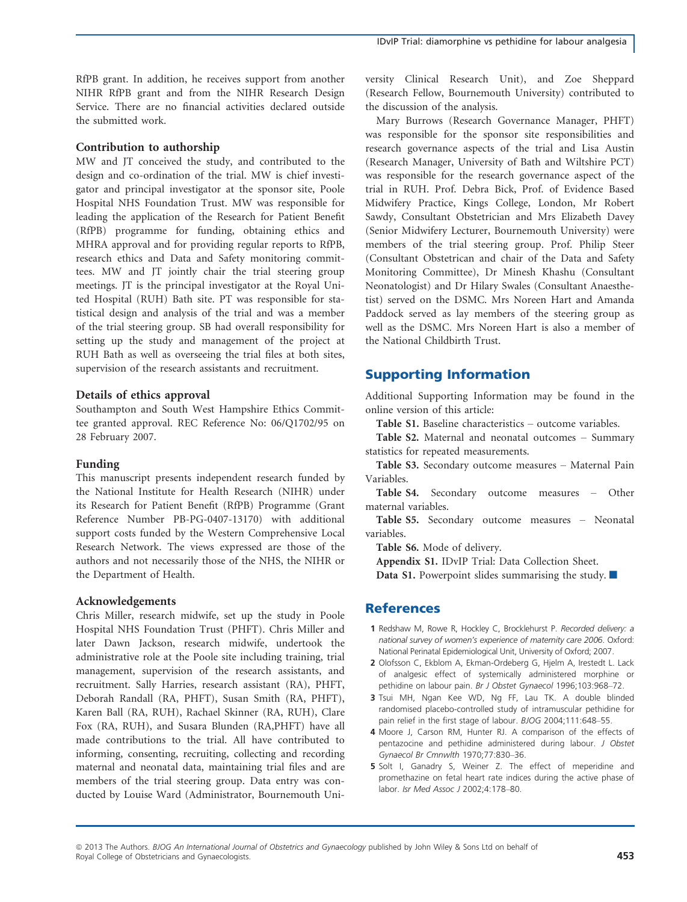RfPB grant. In addition, he receives support from another NIHR RfPB grant and from the NIHR Research Design Service. There are no financial activities declared outside the submitted work.

#### Contribution to authorship

MW and JT conceived the study, and contributed to the design and co-ordination of the trial. MW is chief investigator and principal investigator at the sponsor site, Poole Hospital NHS Foundation Trust. MW was responsible for leading the application of the Research for Patient Benefit (RfPB) programme for funding, obtaining ethics and MHRA approval and for providing regular reports to RfPB, research ethics and Data and Safety monitoring committees. MW and JT jointly chair the trial steering group meetings. JT is the principal investigator at the Royal United Hospital (RUH) Bath site. PT was responsible for statistical design and analysis of the trial and was a member of the trial steering group. SB had overall responsibility for setting up the study and management of the project at RUH Bath as well as overseeing the trial files at both sites, supervision of the research assistants and recruitment.

#### Details of ethics approval

Southampton and South West Hampshire Ethics Committee granted approval. REC Reference No: 06/Q1702/95 on 28 February 2007.

## Funding

This manuscript presents independent research funded by the National Institute for Health Research (NIHR) under its Research for Patient Benefit (RfPB) Programme (Grant Reference Number PB-PG-0407-13170) with additional support costs funded by the Western Comprehensive Local Research Network. The views expressed are those of the authors and not necessarily those of the NHS, the NIHR or the Department of Health.

## Acknowledgements

Chris Miller, research midwife, set up the study in Poole Hospital NHS Foundation Trust (PHFT). Chris Miller and later Dawn Jackson, research midwife, undertook the administrative role at the Poole site including training, trial management, supervision of the research assistants, and recruitment. Sally Harries, research assistant (RA), PHFT, Deborah Randall (RA, PHFT), Susan Smith (RA, PHFT), Karen Ball (RA, RUH), Rachael Skinner (RA, RUH), Clare Fox (RA, RUH), and Susara Blunden (RA,PHFT) have all made contributions to the trial. All have contributed to informing, consenting, recruiting, collecting and recording maternal and neonatal data, maintaining trial files and are members of the trial steering group. Data entry was conducted by Louise Ward (Administrator, Bournemouth University Clinical Research Unit), and Zoe Sheppard (Research Fellow, Bournemouth University) contributed to the discussion of the analysis.

Mary Burrows (Research Governance Manager, PHFT) was responsible for the sponsor site responsibilities and research governance aspects of the trial and Lisa Austin (Research Manager, University of Bath and Wiltshire PCT) was responsible for the research governance aspect of the trial in RUH. Prof. Debra Bick, Prof. of Evidence Based Midwifery Practice, Kings College, London, Mr Robert Sawdy, Consultant Obstetrician and Mrs Elizabeth Davey (Senior Midwifery Lecturer, Bournemouth University) were members of the trial steering group. Prof. Philip Steer (Consultant Obstetrican and chair of the Data and Safety Monitoring Committee), Dr Minesh Khashu (Consultant Neonatologist) and Dr Hilary Swales (Consultant Anaesthetist) served on the DSMC. Mrs Noreen Hart and Amanda Paddock served as lay members of the steering group as well as the DSMC. Mrs Noreen Hart is also a member of the National Childbirth Trust.

# Supporting Information

Additional Supporting Information may be found in the online version of this article:

Table S1. Baseline characteristics – outcome variables.

Table S2. Maternal and neonatal outcomes - Summary statistics for repeated measurements.

Table S3. Secondary outcome measures – Maternal Pain Variables.

Table S4. Secondary outcome measures – Other maternal variables.

Table S5. Secondary outcome measures – Neonatal variables.

Table S6. Mode of delivery.

Appendix S1. IDvIP Trial: Data Collection Sheet.

Data S1. Powerpoint slides summarising the study.  $\blacksquare$ 

# **References**

- 1 Redshaw M, Rowe R, Hockley C, Brocklehurst P. Recorded delivery: a national survey of women's experience of maternity care 2006. Oxford: National Perinatal Epidemiological Unit, University of Oxford; 2007.
- 2 Olofsson C, Ekblom A, Ekman-Ordeberg G, Hjelm A, Irestedt L. Lack of analgesic effect of systemically administered morphine or pethidine on labour pain. Br J Obstet Gynaecol 1996;103:968–72.
- 3 Tsui MH, Ngan Kee WD, Ng FF, Lau TK. A double blinded randomised placebo-controlled study of intramuscular pethidine for pain relief in the first stage of labour. BJOG 2004;111:648-55.
- 4 Moore J, Carson RM, Hunter RJ. A comparison of the effects of pentazocine and pethidine administered during labour. J Obstet Gynaecol Br Cmnwlth 1970;77:830–36.
- 5 Solt I, Ganadry S, Weiner Z. The effect of meperidine and promethazine on fetal heart rate indices during the active phase of labor. Isr Med Assoc J 2002;4:178–80.

ª 2013 The Authors. BJOG An International Journal of Obstetrics and Gynaecology published by John Wiley & Sons Ltd on behalf of Royal College of Obstetricians and Gynaecologists. **453 ASS**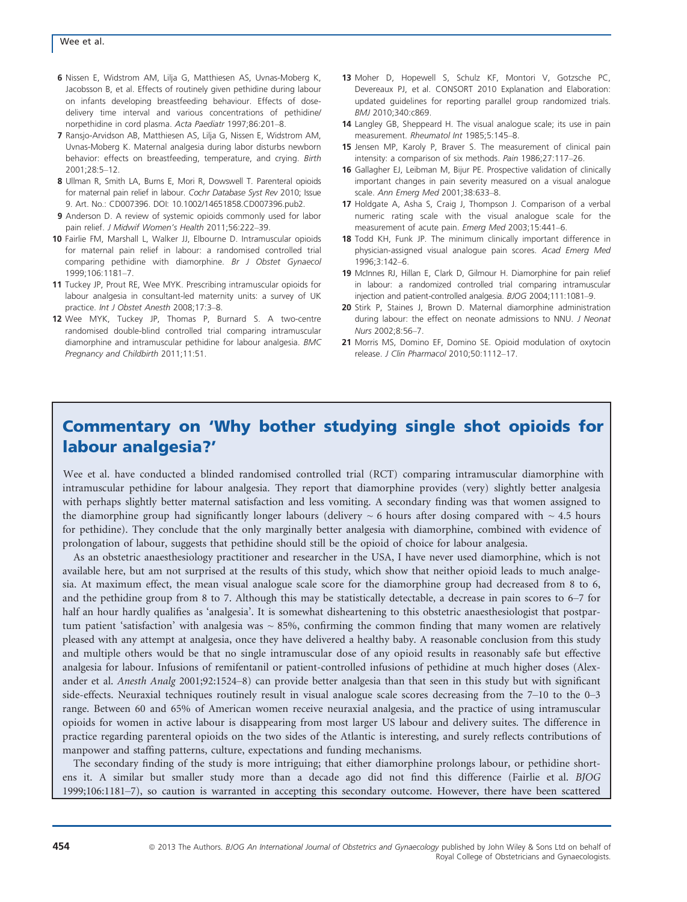- 6 Nissen E, Widstrom AM, Lilja G, Matthiesen AS, Uvnas-Moberg K, Jacobsson B, et al. Effects of routinely given pethidine during labour on infants developing breastfeeding behaviour. Effects of dosedelivery time interval and various concentrations of pethidine/ norpethidine in cord plasma. Acta Paediatr 1997;86:201–8.
- 7 Ransjo-Arvidson AB, Matthiesen AS, Lilja G, Nissen E, Widstrom AM, Uvnas-Moberg K. Maternal analgesia during labor disturbs newborn behavior: effects on breastfeeding, temperature, and crying. Birth 2001;28:5–12.
- 8 Ullman R, Smith LA, Burns E, Mori R, Dowswell T. Parenteral opioids for maternal pain relief in labour. Cochr Database Syst Rev 2010; Issue 9. Art. No.: CD007396. DOI: 10.1002/14651858.CD007396.pub2.
- 9 Anderson D. A review of systemic opioids commonly used for labor pain relief. J Midwif Women's Health 2011;56:222–39.
- 10 Fairlie FM, Marshall L, Walker JJ, Elbourne D. Intramuscular opioids for maternal pain relief in labour: a randomised controlled trial comparing pethidine with diamorphine. Br J Obstet Gynaecol 1999;106:1181–7.
- 11 Tuckey JP, Prout RE, Wee MYK. Prescribing intramuscular opioids for labour analgesia in consultant-led maternity units: a survey of UK practice. Int J Obstet Anesth 2008;17:3–8.
- 12 Wee MYK, Tuckey JP, Thomas P, Burnard S. A two-centre randomised double-blind controlled trial comparing intramuscular diamorphine and intramuscular pethidine for labour analgesia. BMC Pregnancy and Childbirth 2011;11:51.
- 13 Moher D, Hopewell S, Schulz KF, Montori V, Gotzsche PC, Devereaux PJ, et al. CONSORT 2010 Explanation and Elaboration: updated guidelines for reporting parallel group randomized trials. BMJ 2010;340:c869.
- 14 Langley GB, Sheppeard H. The visual analogue scale; its use in pain measurement. Rheumatol Int 1985;5:145–8.
- 15 Jensen MP, Karoly P, Braver S. The measurement of clinical pain intensity: a comparison of six methods. Pain 1986;27:117–26.
- 16 Gallagher EJ, Leibman M, Bijur PE. Prospective validation of clinically important changes in pain severity measured on a visual analogue scale. Ann Emerg Med 2001;38:633–8.
- 17 Holdgate A, Asha S, Craig J, Thompson J. Comparison of a verbal numeric rating scale with the visual analogue scale for the measurement of acute pain. Emerg Med 2003;15:441–6.
- 18 Todd KH, Funk JP. The minimum clinically important difference in physician-assigned visual analogue pain scores. Acad Emerg Med 1996;3:142–6.
- 19 McInnes RJ, Hillan E, Clark D, Gilmour H. Diamorphine for pain relief in labour: a randomized controlled trial comparing intramuscular injection and patient-controlled analgesia. BJOG 2004;111:1081–9.
- 20 Stirk P, Staines J, Brown D. Maternal diamorphine administration during labour: the effect on neonate admissions to NNU. J Neonat Nurs 2002;8:56–7.
- 21 Morris MS, Domino EF, Domino SE. Opioid modulation of oxytocin release. J Clin Pharmacol 2010;50:1112–17.

# Commentary on 'Why bother studying single shot opioids for labour analgesia?'

Wee et al. have conducted a blinded randomised controlled trial (RCT) comparing intramuscular diamorphine with intramuscular pethidine for labour analgesia. They report that diamorphine provides (very) slightly better analgesia with perhaps slightly better maternal satisfaction and less vomiting. A secondary finding was that women assigned to the diamorphine group had significantly longer labours (delivery  $\sim$  6 hours after dosing compared with  $\sim$  4.5 hours for pethidine). They conclude that the only marginally better analgesia with diamorphine, combined with evidence of prolongation of labour, suggests that pethidine should still be the opioid of choice for labour analgesia.

As an obstetric anaesthesiology practitioner and researcher in the USA, I have never used diamorphine, which is not available here, but am not surprised at the results of this study, which show that neither opioid leads to much analgesia. At maximum effect, the mean visual analogue scale score for the diamorphine group had decreased from 8 to 6, and the pethidine group from 8 to 7. Although this may be statistically detectable, a decrease in pain scores to 6–7 for half an hour hardly qualifies as 'analgesia'. It is somewhat disheartening to this obstetric anaesthesiologist that postpartum patient 'satisfaction' with analgesia was  $\sim 85\%$ , confirming the common finding that many women are relatively pleased with any attempt at analgesia, once they have delivered a healthy baby. A reasonable conclusion from this study and multiple others would be that no single intramuscular dose of any opioid results in reasonably safe but effective analgesia for labour. Infusions of remifentanil or patient-controlled infusions of pethidine at much higher doses (Alexander et al. Anesth Analg 2001;92:1524–8) can provide better analgesia than that seen in this study but with significant side-effects. Neuraxial techniques routinely result in visual analogue scale scores decreasing from the 7–10 to the 0–3 range. Between 60 and 65% of American women receive neuraxial analgesia, and the practice of using intramuscular opioids for women in active labour is disappearing from most larger US labour and delivery suites. The difference in practice regarding parenteral opioids on the two sides of the Atlantic is interesting, and surely reflects contributions of manpower and staffing patterns, culture, expectations and funding mechanisms.

The secondary finding of the study is more intriguing; that either diamorphine prolongs labour, or pethidine shortens it. A similar but smaller study more than a decade ago did not find this difference (Fairlie et al. BJOG 1999;106:1181–7), so caution is warranted in accepting this secondary outcome. However, there have been scattered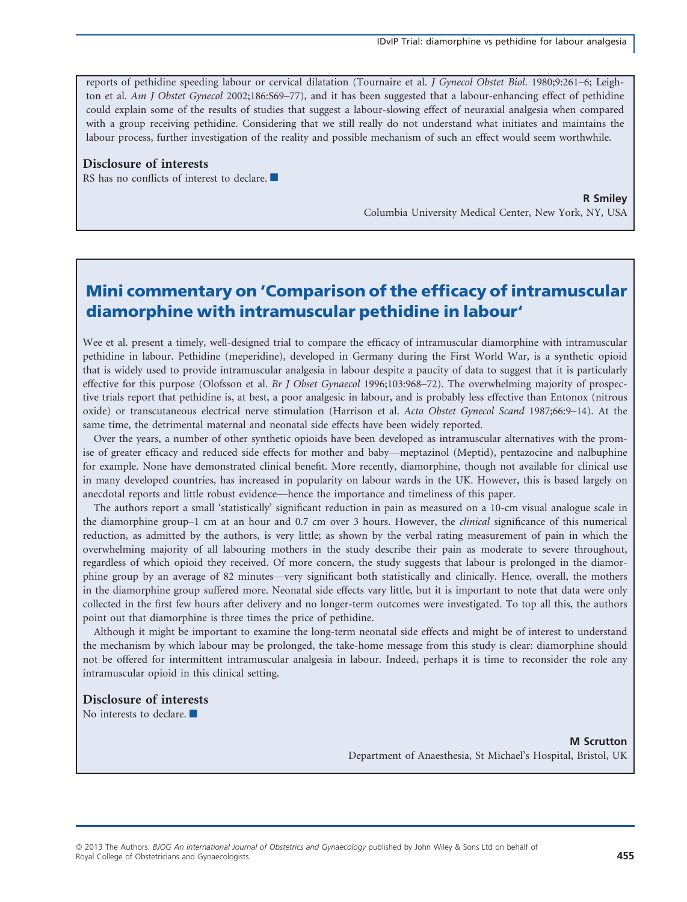reports of pethidine speeding labour or cervical dilatation (Tournaire et al. J Gynecol Obstet Biol. 1980;9:261–6; Leighton et al. Am J Obstet Gynecol 2002;186:S69–77), and it has been suggested that a labour-enhancing effect of pethidine could explain some of the results of studies that suggest a labour-slowing effect of neuraxial analgesia when compared with a group receiving pethidine. Considering that we still really do not understand what initiates and maintains the labour process, further investigation of the reality and possible mechanism of such an effect would seem worthwhile.

#### Disclosure of interests

RS has no conflicts of interest to declare.  $\blacksquare$ 

R Smiley Columbia University Medical Center, New York, NY, USA

# Mini commentary on 'Comparison of the efficacy of intramuscular diamorphine with intramuscular pethidine in labour'

Wee et al. present a timely, well-designed trial to compare the efficacy of intramuscular diamorphine with intramuscular pethidine in labour. Pethidine (meperidine), developed in Germany during the First World War, is a synthetic opioid that is widely used to provide intramuscular analgesia in labour despite a paucity of data to suggest that it is particularly effective for this purpose (Olofsson et al. Br J Obset Gynaecol 1996;103:968–72). The overwhelming majority of prospective trials report that pethidine is, at best, a poor analgesic in labour, and is probably less effective than Entonox (nitrous oxide) or transcutaneous electrical nerve stimulation (Harrison et al. Acta Obstet Gynecol Scand 1987;66:9–14). At the same time, the detrimental maternal and neonatal side effects have been widely reported.

Over the years, a number of other synthetic opioids have been developed as intramuscular alternatives with the promise of greater efficacy and reduced side effects for mother and baby—meptazinol (Meptid), pentazocine and nalbuphine for example. None have demonstrated clinical benefit. More recently, diamorphine, though not available for clinical use in many developed countries, has increased in popularity on labour wards in the UK. However, this is based largely on anecdotal reports and little robust evidence—hence the importance and timeliness of this paper.

The authors report a small 'statistically' significant reduction in pain as measured on a 10-cm visual analogue scale in the diamorphine group–1 cm at an hour and 0.7 cm over 3 hours. However, the clinical significance of this numerical reduction, as admitted by the authors, is very little; as shown by the verbal rating measurement of pain in which the overwhelming majority of all labouring mothers in the study describe their pain as moderate to severe throughout, regardless of which opioid they received. Of more concern, the study suggests that labour is prolonged in the diamorphine group by an average of 82 minutes—very significant both statistically and clinically. Hence, overall, the mothers in the diamorphine group suffered more. Neonatal side effects vary little, but it is important to note that data were only collected in the first few hours after delivery and no longer-term outcomes were investigated. To top all this, the authors point out that diamorphine is three times the price of pethidine.

Although it might be important to examine the long-term neonatal side effects and might be of interest to understand the mechanism by which labour may be prolonged, the take-home message from this study is clear: diamorphine should not be offered for intermittent intramuscular analgesia in labour. Indeed, perhaps it is time to reconsider the role any intramuscular opioid in this clinical setting.

Disclosure of interests

No interests to declare.

M Scrutton Department of Anaesthesia, St Michael's Hospital, Bristol, UK